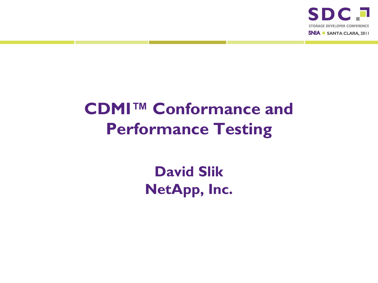

## **CDMI™ Conformance and Performance Testing**

**David Slik NetApp, Inc.**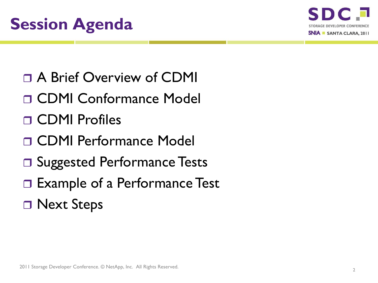

- A Brief Overview of CDMI
- CDMI Conformance Model
- CDMI Profiles
- CDMI Performance Model
- □ Suggested Performance Tests
- □ Example of a Performance Test
- □ Next Steps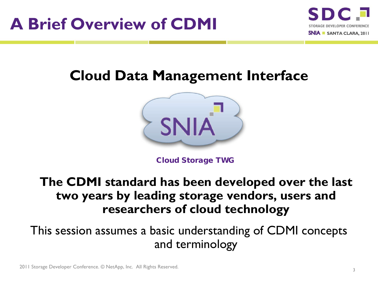

#### **Cloud Data Management Interface**



Cloud Storage TWG

#### **The CDMI standard has been developed over the last two years by leading storage vendors, users and researchers of cloud technology**

This session assumes a basic understanding of CDMI concepts and terminology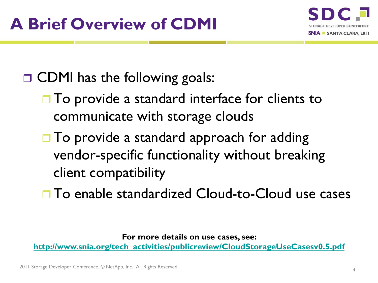

## □ CDMI has the following goals:

- $\Box$  To provide a standard interface for clients to communicate with storage clouds
- $\Box$  To provide a standard approach for adding vendor-specific functionality without breaking client compatibility
- □ To enable standardized Cloud-to-Cloud use cases

**For more details on use cases, see:** 

**[http://www.snia.org/tech\\_activities/publicreview/CloudStorageUseCasesv0.5.pdf](http://www.snia.org/tech_activities/publicreview/CloudStorageUseCasesv0.5.pdf)**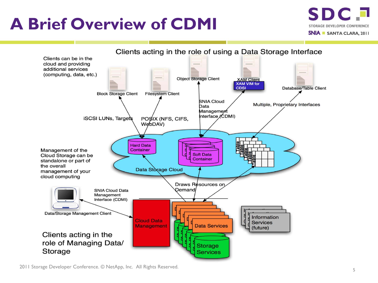## **A Brief Overview of CDMI**



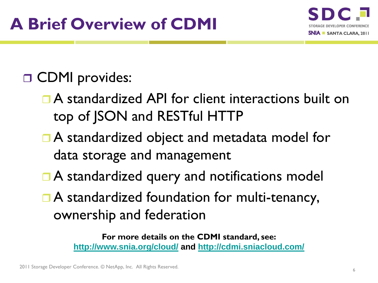

## **D** CDMI provides:

- A standardized API for client interactions built on top of JSON and RESTful HTTP
- A standardized object and metadata model for data storage and management
- **□ A standardized query and notifications model**
- □ A standardized foundation for multi-tenancy, ownership and federation

**For more details on the CDMI standard, see: <http://www.snia.org/cloud/> and<http://cdmi.sniacloud.com/>**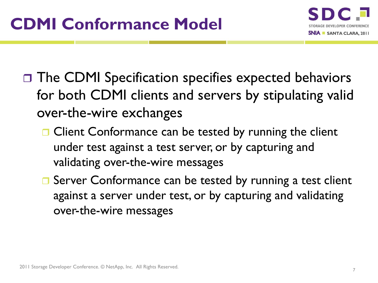

- □ The CDMI Specification specifies expected behaviors for both CDMI clients and servers by stipulating valid over-the-wire exchanges
	- □ Client Conformance can be tested by running the client under test against a test server, or by capturing and validating over-the-wire messages
	- **□** Server Conformance can be tested by running a test client against a server under test, or by capturing and validating over-the-wire messages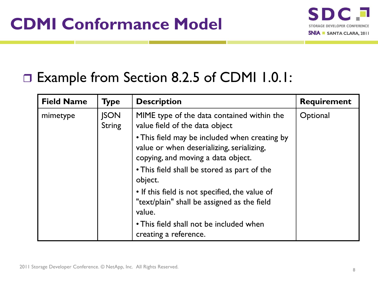

#### □ Example from Section 8.2.5 of CDMI 1.0.1:

| <b>Field Name</b> | <b>Type</b>                  | <b>Description</b>                                                                                                                                                              | <b>Requirement</b> |
|-------------------|------------------------------|---------------------------------------------------------------------------------------------------------------------------------------------------------------------------------|--------------------|
| mimetype          | <b>ISON</b><br><b>String</b> | MIME type of the data contained within the<br>value field of the data object                                                                                                    | Optional           |
|                   |                              | • This field may be included when creating by<br>value or when deserializing, serializing,<br>copying, and moving a data object.<br>• This field shall be stored as part of the |                    |
|                   |                              | object.                                                                                                                                                                         |                    |
|                   |                              | • If this field is not specified, the value of<br>"text/plain" shall be assigned as the field<br>value.                                                                         |                    |
|                   |                              | • This field shall not be included when<br>creating a reference.                                                                                                                |                    |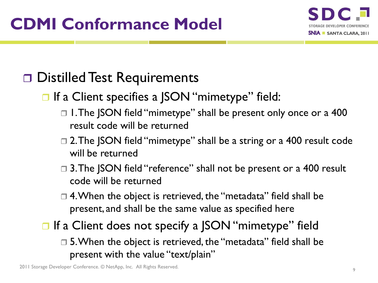

## □ Distilled Test Requirements

- **□** If a Client specifies a JSON "mimetype" field:
	- □ 1. The JSON field "mimetype" shall be present only once or a 400 result code will be returned
	- □ 2. The JSON field "mimetype" shall be a string or a 400 result code will be returned
	- □ 3. The JSON field "reference" shall not be present or a 400 result code will be returned
	- □ 4. When the object is retrieved, the "metadata" field shall be present, and shall be the same value as specified here
- **□** If a Client does not specify a JSON "mimetype" field □ 5. When the object is retrieved, the "metadata" field shall be present with the value "text/plain"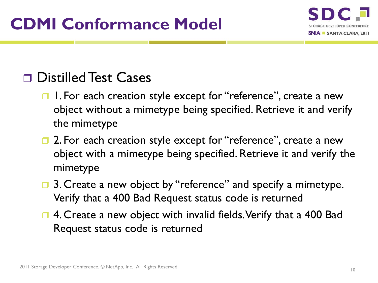

#### □ Distilled Test Cases

- **□** 1. For each creation style except for "reference", create a new object without a mimetype being specified. Retrieve it and verify the mimetype
- **□ 2. For each creation style except for "reference", create a new** object with a mimetype being specified. Retrieve it and verify the mimetype
- **□** 3. Create a new object by "reference" and specify a mimetype. Verify that a 400 Bad Request status code is returned
- **□ 4. Create a new object with invalid fields. Verify that a 400 Bad** Request status code is returned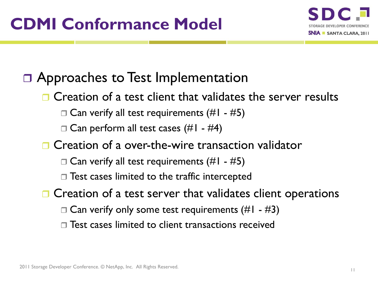

#### □ Approaches to Test Implementation

- **□ Creation of a test client that validates the server results** 
	- $\Box$  Can verify all test requirements (#1 #5)
	- $\Box$  Can perform all test cases (#1 #4)
- **□ Creation of a over-the-wire transaction validator** 
	- $\Box$  Can verify all test requirements (#1 #5)
	- $\Box$  Test cases limited to the traffic intercepted
- $\Box$  Creation of a test server that validates client operations
	- $\Box$  Can verify only some test requirements (#1 #3)
	- $\Box$  Test cases limited to client transactions received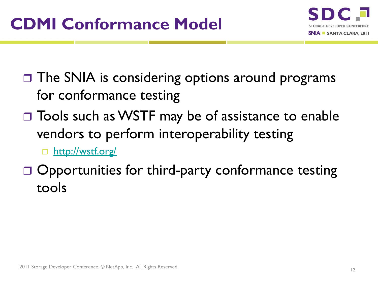

- $\Box$  The SNIA is considering options around programs for conformance testing
- □ Tools such as WSTF may be of assistance to enable vendors to perform interoperability testing

□ <http://wstf.org/>

 $\Box$  Opportunities for third-party conformance testing tools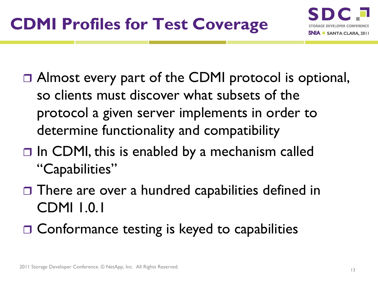- □ Almost every part of the CDMI protocol is optional, so clients must discover what subsets of the protocol a given server implements in order to determine functionality and compatibility
- $\Box$  In CDMI, this is enabled by a mechanism called "Capabilities"
- $\Box$  There are over a hundred capabilities defined in CDMI 1.0.1
- □ Conformance testing is keyed to capabilities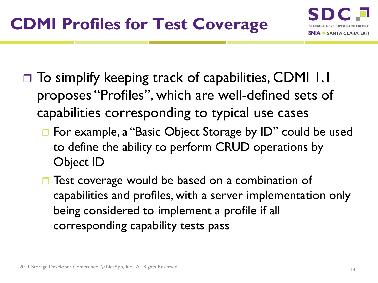- $\Box$  To simplify keeping track of capabilities, CDMI 1.1 proposes "Profiles", which are well-defined sets of capabilities corresponding to typical use cases
	- **□** For example, a "Basic Object Storage by ID" could be used to define the ability to perform CRUD operations by Object ID
	- **□** Test coverage would be based on a combination of capabilities and profiles, with a server implementation only being considered to implement a profile if all corresponding capability tests pass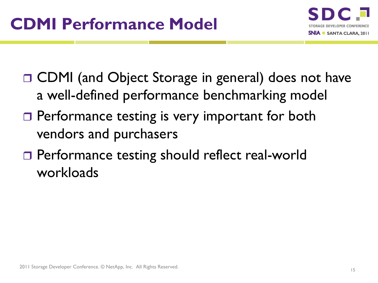

- □ CDMI (and Object Storage in general) does not have a well-defined performance benchmarking model
- □ Performance testing is very important for both vendors and purchasers
- □ Performance testing should reflect real-world workloads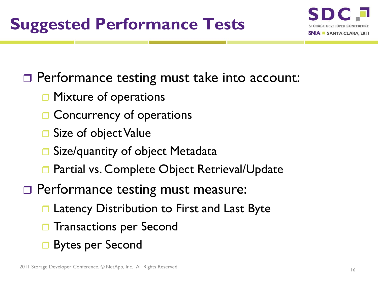

**Performance testing must take into account:** 

- **D** Mixture of operations
- **□ Concurrency of operations**
- **□** Size of object Value
- **□** Size/quantity of object Metadata
- **□ Partial vs. Complete Object Retrieval/Update**
- □ Performance testing must measure:
	- **□ Latency Distribution to First and Last Byte**
	- **T** Transactions per Second
	- Bytes per Second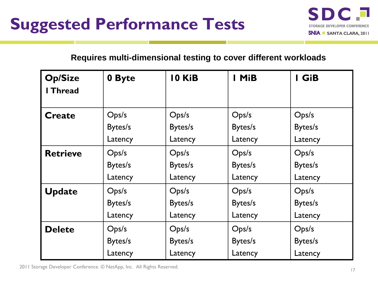

#### **Requires multi-dimensional testing to cover different workloads**

| <b>Op/Size</b><br>I Thread | 0 Byte  | 10 KiB  | I MiB   | I GiB   |
|----------------------------|---------|---------|---------|---------|
| <b>Create</b>              | Ops/s   | Ops/s   | Ops/s   | Ops/s   |
|                            | Bytes/s | Bytes/s | Bytes/s | Bytes/s |
|                            | Latency | Latency | Latency | Latency |
| <b>Retrieve</b>            | Ops/s   | Ops/s   | Ops/s   | Ops/s   |
|                            | Bytes/s | Bytes/s | Bytes/s | Bytes/s |
|                            | Latency | Latency | Latency | Latency |
| <b>Update</b>              | Ops/s   | Ops/s   | Ops/s   | Ops/s   |
|                            | Bytes/s | Bytes/s | Bytes/s | Bytes/s |
|                            | Latency | Latency | Latency | Latency |
| <b>Delete</b>              | Ops/s   | Ops/s   | Ops/s   | Ops/s   |
|                            | Bytes/s | Bytes/s | Bytes/s | Bytes/s |
|                            | Latency | Latency | Latency | Latency |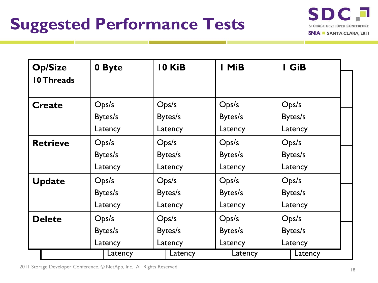

| <b>Op/Size</b>    | 0 Byte  | 10 KiB<br>I MiB    |         | I GiB   |  |
|-------------------|---------|--------------------|---------|---------|--|
| <b>10 Threads</b> |         |                    |         |         |  |
| <b>Create</b>     | Ops/s   | Ops/s              | Ops/s   | Ops/s   |  |
|                   | Bytes/s | Bytes/s<br>Bytes/s |         | Bytes/s |  |
|                   | Latency | Latency            | Latency | Latency |  |
| <b>Retrieve</b>   | Ops/s   | Ops/s              | Ops/s   | Ops/s   |  |
|                   | Bytes/s | Bytes/s            | Bytes/s | Bytes/s |  |
|                   | Latency | Latency            | Latency | Latency |  |
| <b>Update</b>     | Ops/s   | Ops/s              | Ops/s   | Ops/s   |  |
|                   | Bytes/s | Bytes/s            | Bytes/s | Bytes/s |  |
|                   | Latency | Latency            | Latency | Latency |  |
| <b>Delete</b>     | Ops/s   | Ops/s              |         | Ops/s   |  |
|                   | Bytes/s | Bytes/s            | Bytes/s | Bytes/s |  |
|                   | Latency | Latency<br>Latency |         | Latency |  |
|                   | Latency | Latency            | Latency | Latency |  |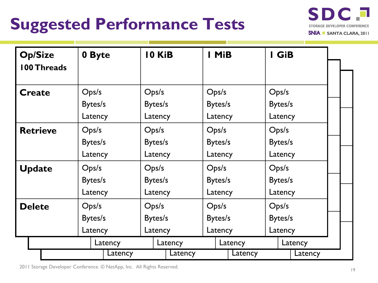# **Suggested Performance Tests**



| <b>Op/Size</b><br><b>100 Threads</b> |         | 0 Byte  |  | 10 KiB             |         |         | I MiB   |         |         | I GiB |         |  |
|--------------------------------------|---------|---------|--|--------------------|---------|---------|---------|---------|---------|-------|---------|--|
| <b>Create</b>                        |         | Ops/s   |  | Ops/s              |         | Ops/s   |         |         | Ops/s   |       |         |  |
|                                      |         | Bytes/s |  | Bytes/s            |         |         | Bytes/s |         | Bytes/s |       |         |  |
|                                      |         | Latency |  | Latency<br>Latency |         |         | Latency |         |         |       |         |  |
| <b>Retrieve</b>                      | Ops/s   |         |  | Ops/s              |         | Ops/s   |         | Ops/s   |         |       |         |  |
|                                      |         | Bytes/s |  | Bytes/s            |         | Bytes/s |         | Bytes/s |         |       |         |  |
|                                      | Latency |         |  | Latency            |         | Latency |         | Latency |         |       |         |  |
| <b>Update</b>                        | Ops/s   |         |  | Ops/s              |         | Ops/s   |         | Ops/s   |         |       |         |  |
|                                      | Bytes/s |         |  | Bytes/s            |         | Bytes/s |         | Bytes/s |         |       |         |  |
|                                      | Latency |         |  | Latency            |         | Latency |         | Latency |         |       |         |  |
| <b>Delete</b>                        | Ops/s   |         |  | Ops/s              |         | Ops/s   |         | Ops/s   |         |       |         |  |
|                                      | Bytes/s |         |  | Bytes/s            |         | Bytes/s |         | Bytes/s |         |       |         |  |
|                                      | Latency |         |  | Latency            |         | Latency |         | Latency |         |       |         |  |
|                                      | Latency |         |  | Latency            |         | Latency |         | Latency |         |       |         |  |
|                                      |         | Latency |  |                    | Latency |         |         | Latency |         |       | Latency |  |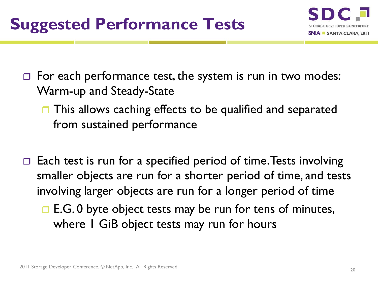

 $\Box$  For each performance test, the system is run in two modes: Warm-up and Steady-State

- **□** This allows caching effects to be qualified and separated from sustained performance
- Each test is run for a specified period of time. Tests involving smaller objects are run for a shorter period of time, and tests involving larger objects are run for a longer period of time
	- $\Box$  E.G. 0 byte object tests may be run for tens of minutes, where I GiB object tests may run for hours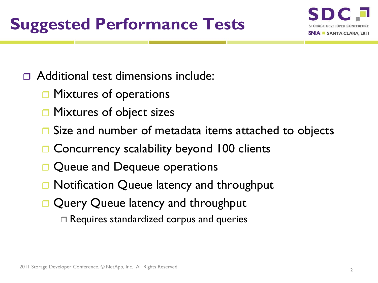## **Suggested Performance Tests**



#### Additional test dimensions include:

- **□ Mixtures of operations**
- Mixtures of object sizes
- Size and number of metadata items attached to objects
- **□ Concurrency scalability beyond 100 clients**
- Queue and Dequeue operations
- **□ Notification Queue latency and throughput**
- Query Queue latency and throughput
	- Requires standardized corpus and queries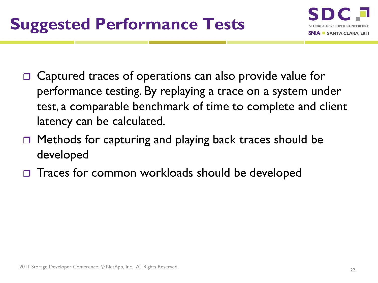

- □ Captured traces of operations can also provide value for performance testing. By replaying a trace on a system under test, a comparable benchmark of time to complete and client latency can be calculated.
- □ Methods for capturing and playing back traces should be developed
- □ Traces for common workloads should be developed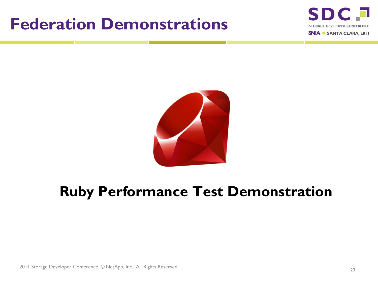## **Federation Demonstrations**





#### **Ruby Performance Test Demonstration**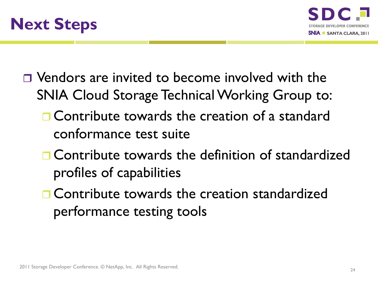



- □ Vendors are invited to become involved with the SNIA Cloud Storage Technical Working Group to:
	- **OCONTROLLOGALIST CONTROLLOGALIST CONTROLLOGALIST** Contribute towards the creation of a standard conformance test suite
	- **n** Contribute towards the definition of standardized profiles of capabilities
	- **n** Contribute towards the creation standardized performance testing tools